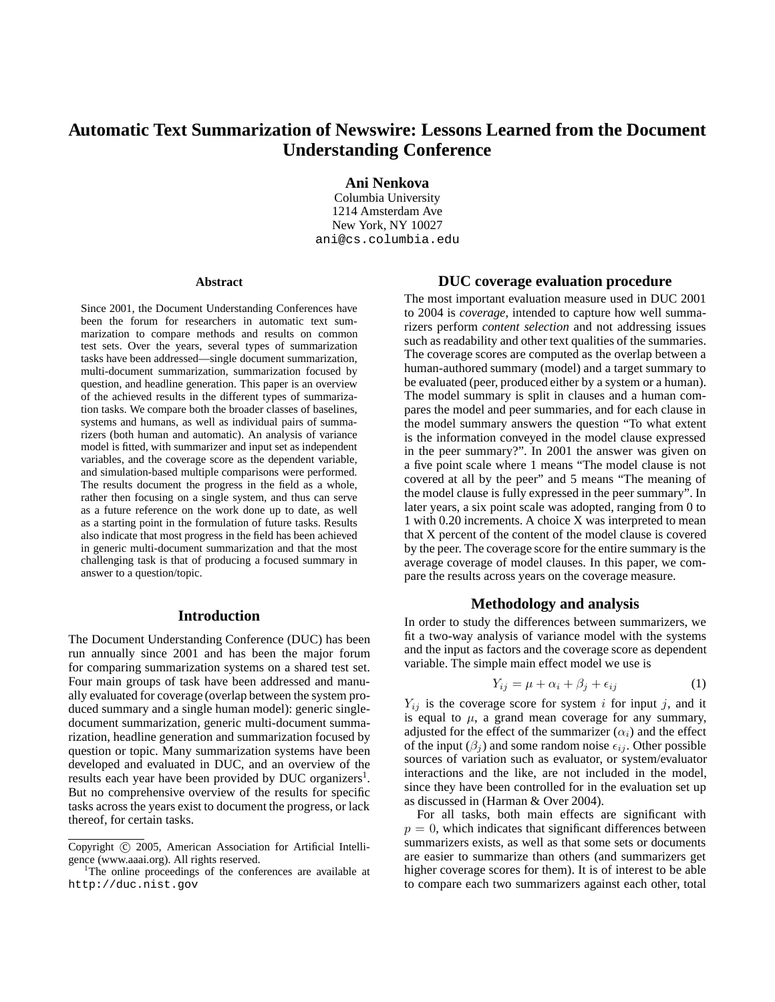# **Automatic Text Summarization of Newswire: Lessons Learned from the Document Understanding Conference**

**Ani Nenkova**

Columbia University 1214 Amsterdam Ave New York, NY 10027 ani@cs.columbia.edu

#### **Abstract**

Since 2001, the Document Understanding Conferences have been the forum for researchers in automatic text summarization to compare methods and results on common test sets. Over the years, several types of summarization tasks have been addressed—single document summarization, multi-document summarization, summarization focused by question, and headline generation. This paper is an overview of the achieved results in the different types of summarization tasks. We compare both the broader classes of baselines, systems and humans, as well as individual pairs of summarizers (both human and automatic). An analysis of variance model is fitted, with summarizer and input set as independent variables, and the coverage score as the dependent variable, and simulation-based multiple comparisons were performed. The results document the progress in the field as a whole, rather then focusing on a single system, and thus can serve as a future reference on the work done up to date, as well as a starting point in the formulation of future tasks. Results also indicate that most progress in the field has been achieved in generic multi-document summarization and that the most challenging task is that of producing a focused summary in answer to a question/topic.

### **Introduction**

The Document Understanding Conference (DUC) has been run annually since 2001 and has been the major forum for comparing summarization systems on a shared test set. Four main groups of task have been addressed and manually evaluated for coverage (overlap between the system produced summary and a single human model): generic singledocument summarization, generic multi-document summarization, headline generation and summarization focused by question or topic. Many summarization systems have been developed and evaluated in DUC, and an overview of the results each year have been provided by DUC organizers<sup>1</sup>. But no comprehensive overview of the results for specific tasks across the years exist to document the progress, or lack thereof, for certain tasks.

### **DUC coverage evaluation procedure**

The most important evaluation measure used in DUC 2001 to 2004 is *coverage*, intended to capture how well summarizers perform *content selection* and not addressing issues such as readability and other text qualities of the summaries. The coverage scores are computed as the overlap between a human-authored summary (model) and a target summary to be evaluated (peer, produced either by a system or a human). The model summary is split in clauses and a human compares the model and peer summaries, and for each clause in the model summary answers the question "To what extent is the information conveyed in the model clause expressed in the peer summary?". In 2001 the answer was given on a five point scale where 1 means "The model clause is not covered at all by the peer" and 5 means "The meaning of the model clause is fully expressed in the peer summary". In later years, a six point scale was adopted, ranging from 0 to 1 with 0.20 increments. A choice X was interpreted to mean that X percent of the content of the model clause is covered by the peer. The coverage score for the entire summary is the average coverage of model clauses. In this paper, we compare the results across years on the coverage measure.

# **Methodology and analysis**

In order to study the differences between summarizers, we fit a two-way analysis of variance model with the systems and the input as factors and the coverage score as dependent variable. The simple main effect model we use is

$$
Y_{ij} = \mu + \alpha_i + \beta_j + \epsilon_{ij} \tag{1}
$$

 $Y_{ij}$  is the coverage score for system i for input j, and it is equal to  $\mu$ , a grand mean coverage for any summary, adjusted for the effect of the summarizer  $(\alpha_i)$  and the effect of the input  $(\beta_i)$  and some random noise  $\epsilon_{ij}$ . Other possible sources of variation such as evaluator, or system/evaluator interactions and the like, are not included in the model, since they have been controlled for in the evaluation set up as discussed in (Harman & Over 2004).

For all tasks, both main effects are significant with  $p = 0$ , which indicates that significant differences between summarizers exists, as well as that some sets or documents are easier to summarize than others (and summarizers get higher coverage scores for them). It is of interest to be able to compare each two summarizers against each other, total

Copyright © 2005, American Association for Artificial Intelligence (www.aaai.org). All rights reserved. <sup>1</sup>

<sup>&</sup>lt;sup>1</sup>The online proceedings of the conferences are available at http://duc.nist.gov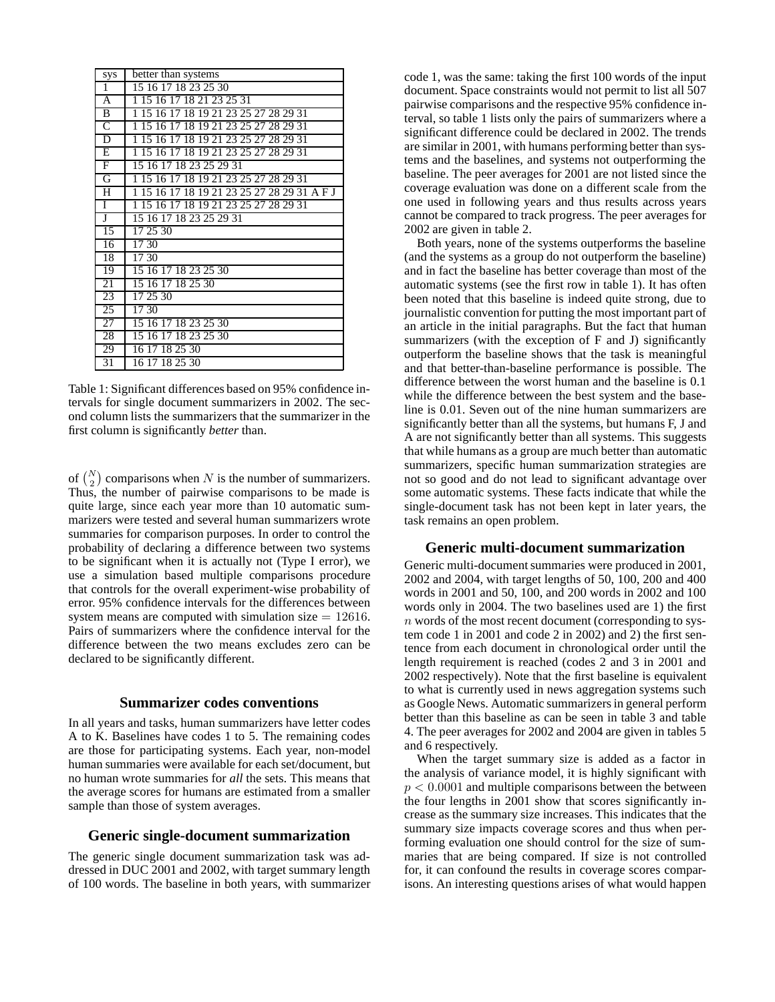| sys                   | better than systems                         |
|-----------------------|---------------------------------------------|
| $\mathbf{1}$          | 15 16 17 18 23 25 30                        |
| $\overline{A}$        | 1 15 16 17 18 21 23 25 31                   |
| $\overline{B}$        | 1 15 16 17 18 19 21 23 25 27 28 29 31       |
| $\overline{\text{C}}$ | 1 15 16 17 18 19 21 23 25 27 28 29 31       |
| $\overline{D}$        | 1 15 16 17 18 19 21 23 25 27 28 29 31       |
| Ε                     | 1 15 16 17 18 19 21 23 25 27 28 29 31       |
| F                     | 15 16 17 18 23 25 29 31                     |
| G                     | 1 15 16 17 18 19 21 23 25 27 28 29 31       |
| H                     | 1 15 16 17 18 19 21 23 25 27 28 29 31 A F J |
| T                     | 1 15 16 17 18 19 21 23 25 27 28 29 31       |
| Ţ                     | 15 16 17 18 23 25 29 31                     |
| 15                    | 17 25 30                                    |
| 16                    | 17.30                                       |
| 18                    | 17 30                                       |
| 19                    | 15 16 17 18 23 25 30                        |
| 21                    | 15 16 17 18 25 30                           |
| 23                    | 17 25 30                                    |
| 25                    | 17.30                                       |
| 27                    | 15 16 17 18 23 25 30                        |
| 28                    | 15 16 17 18 23 25 30                        |
| 29                    | 16 17 18 25 30                              |
| 31                    | 16 17 18 25 30                              |

Table 1: Significant differences based on 95% confidence intervals for single document summarizers in 2002. The second column lists the summarizers that the summarizer in the first column is significantly *better* than.

of  $\binom{N}{2}$  comparisons when N is the number of summarizers. Thus, the number of pairwise comparisons to be made is quite large, since each year more than 10 automatic summarizers were tested and several human summarizers wrote summaries for comparison purposes. In order to control the probability of declaring a difference between two systems to be significant when it is actually not (Type I error), we use a simulation based multiple comparisons procedure that controls for the overall experiment-wise probability of error. 95% confidence intervals for the differences between system means are computed with simulation size  $= 12616$ . Pairs of summarizers where the confidence interval for the difference between the two means excludes zero can be declared to be significantly different.

# **Summarizer codes conventions**

In all years and tasks, human summarizers have letter codes A to K. Baselines have codes 1 to 5. The remaining codes are those for participating systems. Each year, non-model human summaries were available for each set/document, but no human wrote summaries for *all* the sets. This means that the average scores for humans are estimated from a smaller sample than those of system averages.

### **Generic single-document summarization**

The generic single document summarization task was addressed in DUC 2001 and 2002, with target summary length of 100 words. The baseline in both years, with summarizer code 1, was the same: taking the first 100 words of the input document. Space constraints would not permit to list all 507 pairwise comparisons and the respective 95% confidence interval, so table 1 lists only the pairs of summarizers where a significant difference could be declared in 2002. The trends are similar in 2001, with humans performing better than systems and the baselines, and systems not outperforming the baseline. The peer averages for 2001 are not listed since the coverage evaluation was done on a different scale from the one used in following years and thus results across years cannot be compared to track progress. The peer averages for 2002 are given in table 2.

Both years, none of the systems outperforms the baseline (and the systems as a group do not outperform the baseline) and in fact the baseline has better coverage than most of the automatic systems (see the first row in table 1). It has often been noted that this baseline is indeed quite strong, due to journalistic convention for putting the most important part of an article in the initial paragraphs. But the fact that human summarizers (with the exception of F and J) significantly outperform the baseline shows that the task is meaningful and that better-than-baseline performance is possible. The difference between the worst human and the baseline is 0.1 while the difference between the best system and the baseline is 0.01. Seven out of the nine human summarizers are significantly better than all the systems, but humans F, J and A are not significantly better than all systems. This suggests that while humans as a group are much better than automatic summarizers, specific human summarization strategies are not so good and do not lead to significant advantage over some automatic systems. These facts indicate that while the single-document task has not been kept in later years, the task remains an open problem.

#### **Generic multi-document summarization**

Generic multi-document summaries were produced in 2001, 2002 and 2004, with target lengths of 50, 100, 200 and 400 words in 2001 and 50, 100, and 200 words in 2002 and 100 words only in 2004. The two baselines used are 1) the first n words of the most recent document (corresponding to system code 1 in 2001 and code 2 in 2002) and 2) the first sentence from each document in chronological order until the length requirement is reached (codes 2 and 3 in 2001 and 2002 respectively). Note that the first baseline is equivalent to what is currently used in news aggregation systems such as Google News. Automatic summarizers in general perform better than this baseline as can be seen in table 3 and table 4. The peer averages for 2002 and 2004 are given in tables 5 and 6 respectively.

When the target summary size is added as a factor in the analysis of variance model, it is highly significant with  $p < 0.0001$  and multiple comparisons between the between the four lengths in 2001 show that scores significantly increase as the summary size increases. This indicates that the summary size impacts coverage scores and thus when performing evaluation one should control for the size of summaries that are being compared. If size is not controlled for, it can confound the results in coverage scores comparisons. An interesting questions arises of what would happen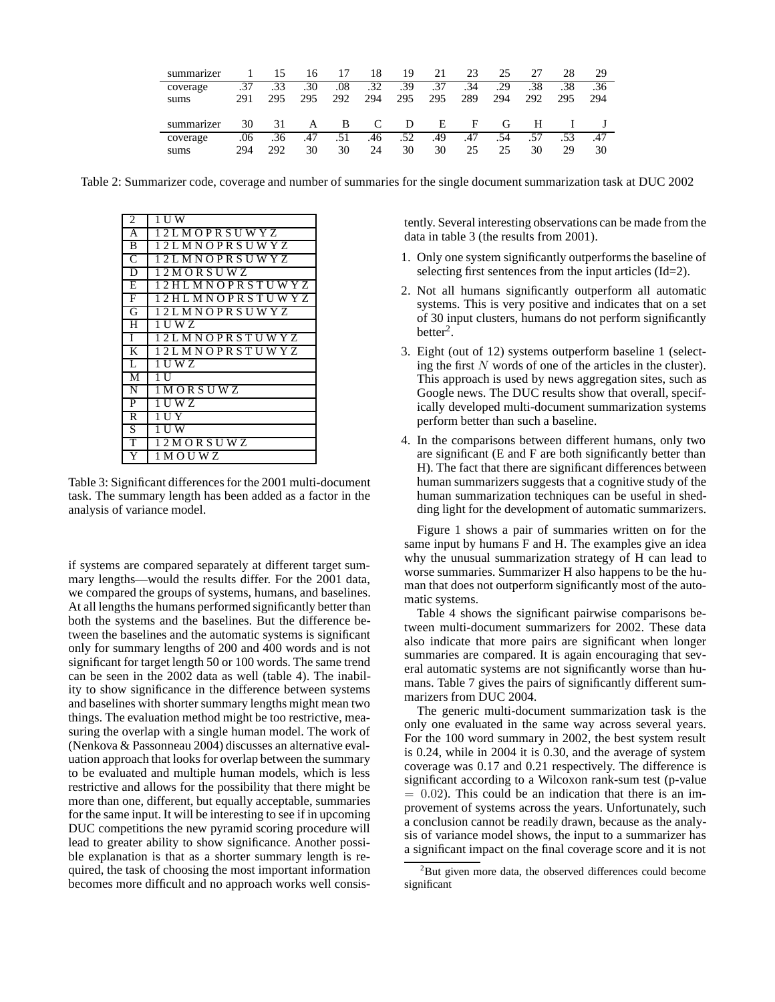| summarizer |     | 15  | 16               |     | 18  | 19  | 21  | 23  | 25  | 27  |     | 29  |
|------------|-----|-----|------------------|-----|-----|-----|-----|-----|-----|-----|-----|-----|
| coverage   | .37 | .33 | .30 <sub>1</sub> | .08 | .32 | .39 | .37 | .34 | .29 | .38 | .38 | .36 |
| sums       | 291 | 295 | 295              | 292 | 294 | 295 | 295 | 289 | 294 | 292 | 295 | 294 |
|            |     |     |                  |     |     |     |     |     |     |     |     |     |
| summarizer | 30  | 31  | A                | B   | C   | D   | E   | F   | G   | н   |     |     |
| coverage   | .06 | .36 | .47              | .51 | .46 | .52 | .49 | .47 | .54 | .57 | .53 | .47 |

Table 2: Summarizer code, coverage and number of summaries for the single document summarization task at DUC 2002

| 2              | 1 U W                        |
|----------------|------------------------------|
| A              | 12 L M O P R S U W Y Z       |
| B              | 12 L M N O P R S U W Y Z     |
| C              | 12LMNOPRSUWYZ                |
| $\overline{D}$ | 12MORSUWZ                    |
| E              | 12 H L M N O P R S T U W Y Z |
| F              | 12 H L M N O P R S T U W Y Z |
| G              | 12LMNOPRSUWYZ                |
| Η              | 1 U W Z                      |
| T              | 12 L M N O P R S T U W Y Z   |
| K              | 12LMNOPRSTUWYZ               |
| L              | 1 U W Z                      |
| M              | 1 U                          |
| Ñ              | 1 M OR SU WZ                 |
| $\overline{P}$ | 1 U W Z                      |
| $\overline{R}$ | TU Y                         |
| S              | 1 U W                        |
| T              | 1 2 M O R S U W Z            |
| Y              | 1 M O U W Z                  |

Table 3: Significant differences for the 2001 multi-document task. The summary length has been added as a factor in the analysis of variance model.

if systems are compared separately at different target summary lengths—would the results differ. For the 2001 data, we compared the groups of systems, humans, and baselines. At all lengths the humans performed significantly better than both the systems and the baselines. But the difference between the baselines and the automatic systems is significant only for summary lengths of 200 and 400 words and is not significant for target length 50 or 100 words. The same trend can be seen in the 2002 data as well (table 4). The inability to show significance in the difference between systems and baselines with shorter summary lengths might mean two things. The evaluation method might be too restrictive, measuring the overlap with a single human model. The work of (Nenkova & Passonneau 2004) discusses an alternative evaluation approach that looks for overlap between the summary to be evaluated and multiple human models, which is less restrictive and allows for the possibility that there might be more than one, different, but equally acceptable, summaries for the same input. It will be interesting to see if in upcoming DUC competitions the new pyramid scoring procedure will lead to greater ability to show significance. Another possible explanation is that as a shorter summary length is required, the task of choosing the most important information becomes more difficult and no approach works well consistently. Several interesting observations can be made from the data in table 3 (the results from 2001).

- 1. Only one system significantly outperforms the baseline of selecting first sentences from the input articles (Id=2).
- 2. Not all humans significantly outperform all automatic systems. This is very positive and indicates that on a set of 30 input clusters, humans do not perform significantly  $better<sup>2</sup>$ .
- 3. Eight (out of 12) systems outperform baseline 1 (selecting the first  $N$  words of one of the articles in the cluster). This approach is used by news aggregation sites, such as Google news. The DUC results show that overall, specifically developed multi-document summarization systems perform better than such a baseline.
- 4. In the comparisons between different humans, only two are significant (E and F are both significantly better than H). The fact that there are significant differences between human summarizers suggests that a cognitive study of the human summarization techniques can be useful in shedding light for the development of automatic summarizers.

Figure 1 shows a pair of summaries written on for the same input by humans F and H. The examples give an idea why the unusual summarization strategy of H can lead to worse summaries. Summarizer H also happens to be the human that does not outperform significantly most of the automatic systems.

Table 4 shows the significant pairwise comparisons between multi-document summarizers for 2002. These data also indicate that more pairs are significant when longer summaries are compared. It is again encouraging that several automatic systems are not significantly worse than humans. Table 7 gives the pairs of significantly different summarizers from DUC 2004.

The generic multi-document summarization task is the only one evaluated in the same way across several years. For the 100 word summary in 2002, the best system result is 0.24, while in 2004 it is 0.30, and the average of system coverage was 0.17 and 0.21 respectively. The difference is significant according to a Wilcoxon rank-sum test (p-value  $= 0.02$ ). This could be an indication that there is an improvement of systems across the years. Unfortunately, such a conclusion cannot be readily drawn, because as the analysis of variance model shows, the input to a summarizer has a significant impact on the final coverage score and it is not

 $2^2$ But given more data, the observed differences could become significant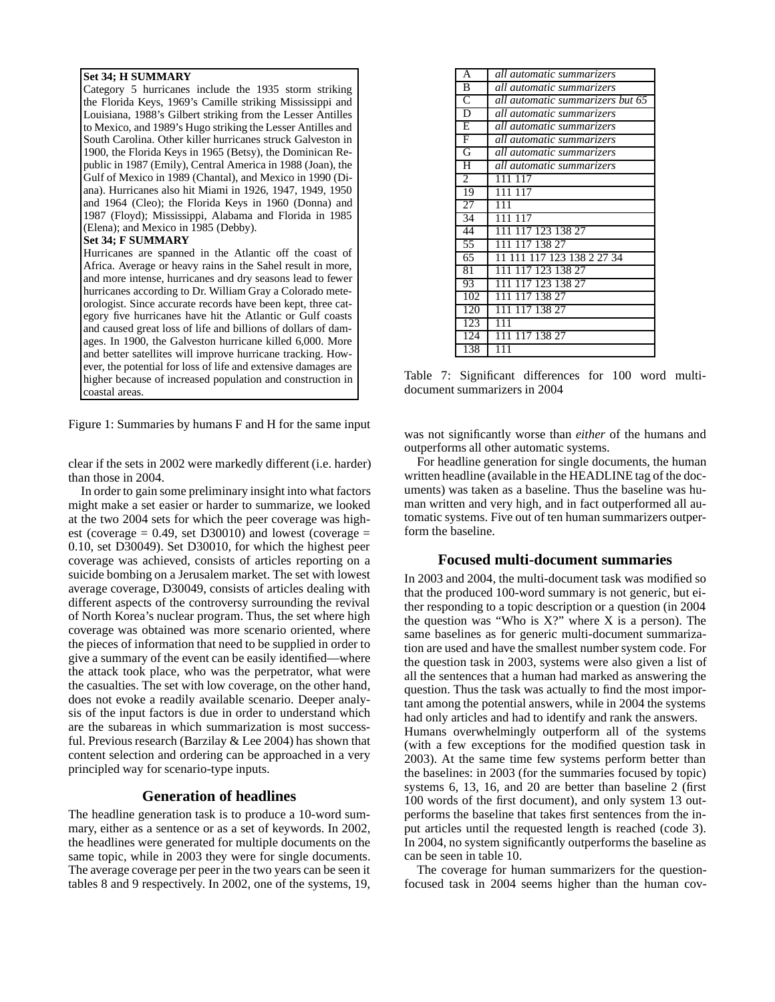### **Set 34; H SUMMARY**

Category 5 hurricanes include the 1935 storm striking the Florida Keys, 1969's Camille striking Mississippi and Louisiana, 1988's Gilbert striking from the Lesser Antilles to Mexico, and 1989's Hugo striking the Lesser Antilles and South Carolina. Other killer hurricanes struck Galveston in 1900, the Florida Keys in 1965 (Betsy), the Dominican Republic in 1987 (Emily), Central America in 1988 (Joan), the Gulf of Mexico in 1989 (Chantal), and Mexico in 1990 (Diana). Hurricanes also hit Miami in 1926, 1947, 1949, 1950 and 1964 (Cleo); the Florida Keys in 1960 (Donna) and 1987 (Floyd); Mississippi, Alabama and Florida in 1985 (Elena); and Mexico in 1985 (Debby).

#### **Set 34; F SUMMARY**

Hurricanes are spanned in the Atlantic off the coast of Africa. Average or heavy rains in the Sahel result in more, and more intense, hurricanes and dry seasons lead to fewer hurricanes according to Dr. William Gray a Colorado meteorologist. Since accurate records have been kept, three category five hurricanes have hit the Atlantic or Gulf coasts and caused great loss of life and billions of dollars of damages. In 1900, the Galveston hurricane killed 6,000. More and better satellites will improve hurricane tracking. However, the potential for loss of life and extensive damages are higher because of increased population and construction in coastal areas.

Figure 1: Summaries by humans F and H for the same input

clear if the sets in 2002 were markedly different (i.e. harder) than those in 2004.

In order to gain some preliminary insight into what factors might make a set easier or harder to summarize, we looked at the two 2004 sets for which the peer coverage was highest (coverage  $= 0.49$ , set D30010) and lowest (coverage  $=$ 0.10, set D30049). Set D30010, for which the highest peer coverage was achieved, consists of articles reporting on a suicide bombing on a Jerusalem market. The set with lowest average coverage, D30049, consists of articles dealing with different aspects of the controversy surrounding the revival of North Korea's nuclear program. Thus, the set where high coverage was obtained was more scenario oriented, where the pieces of information that need to be supplied in order to give a summary of the event can be easily identified—where the attack took place, who was the perpetrator, what were the casualties. The set with low coverage, on the other hand, does not evoke a readily available scenario. Deeper analysis of the input factors is due in order to understand which are the subareas in which summarization is most successful. Previous research (Barzilay & Lee 2004) has shown that content selection and ordering can be approached in a very principled way for scenario-type inputs.

# **Generation of headlines**

The headline generation task is to produce a 10-word summary, either as a sentence or as a set of keywords. In 2002, the headlines were generated for multiple documents on the same topic, while in 2003 they were for single documents. The average coverage per peer in the two years can be seen it tables 8 and 9 respectively. In 2002, one of the systems, 19,

| A                     | all automatic summarizers        |
|-----------------------|----------------------------------|
| B                     | all automatic summarizers        |
| $\overline{\text{C}}$ | all automatic summarizers but 65 |
| $\overline{\text{D}}$ | all automatic summarizers        |
| Ε                     | all automatic summarizers        |
| F                     | all automatic summarizers        |
| G                     | all automatic summarizers        |
| Η                     | all automatic summarizers        |
| $\overline{2}$        | 111 117                          |
| 19                    | 111 117                          |
| 27                    | 111                              |
| 34                    | 111 117                          |
| 44                    | 111 117 123 138 27               |
| 55                    | 111 117 138 27                   |
| 65                    | 11 111 117 123 138 2 27 34       |
| 81                    | 111 117 123 138 27               |
| 93                    | 111<br>117 123 138 27            |
| 102                   | 111 117 138 27                   |
| 120                   | 111 117 138 27                   |
| 123                   | 111                              |
| 124                   | 111 117 138 27                   |
| 138                   | 111                              |

Table 7: Significant differences for 100 word multidocument summarizers in 2004

was not significantly worse than *either* of the humans and outperforms all other automatic systems.

For headline generation for single documents, the human written headline (available in the HEADLINE tag of the documents) was taken as a baseline. Thus the baseline was human written and very high, and in fact outperformed all automatic systems. Five out of ten human summarizers outperform the baseline.

# **Focused multi-document summaries**

In 2003 and 2004, the multi-document task was modified so that the produced 100-word summary is not generic, but either responding to a topic description or a question (in 2004 the question was "Who is  $X$ ?" where  $X$  is a person). The same baselines as for generic multi-document summarization are used and have the smallest number system code. For the question task in 2003, systems were also given a list of all the sentences that a human had marked as answering the question. Thus the task was actually to find the most important among the potential answers, while in 2004 the systems had only articles and had to identify and rank the answers. Humans overwhelmingly outperform all of the systems (with a few exceptions for the modified question task in 2003). At the same time few systems perform better than the baselines: in 2003 (for the summaries focused by topic) systems 6, 13, 16, and 20 are better than baseline 2 (first 100 words of the first document), and only system 13 outperforms the baseline that takes first sentences from the input articles until the requested length is reached (code 3). In 2004, no system significantly outperforms the baseline as can be seen in table 10.

The coverage for human summarizers for the questionfocused task in 2004 seems higher than the human cov-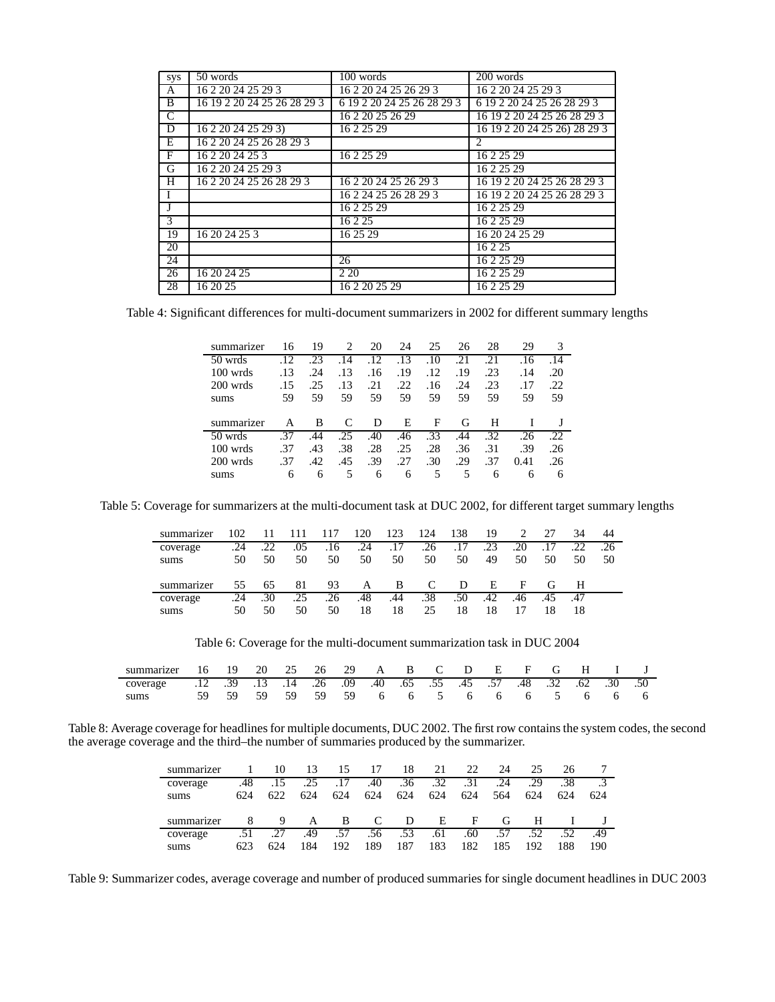| <b>SVS</b>     | 50 words                    | 100 words                  | 200 words                    |
|----------------|-----------------------------|----------------------------|------------------------------|
| A              | 16 2 20 24 25 29 3          | 16 2 20 24 25 26 29 3      | 16 2 20 24 25 29 3           |
| B              | 16 19 2 20 24 25 26 28 29 3 | 6 19 2 20 24 25 26 28 29 3 | 6 19 2 20 24 25 26 28 29 3   |
| $\overline{C}$ |                             | 16 2 20 25 26 29           | 16 19 2 20 24 25 26 28 29 3  |
| D              | 16 2 20 24 25 29 3)         | 16 2 25 29                 | 16 19 2 20 24 25 26) 28 29 3 |
| E              | 16 2 20 24 25 26 28 29 3    |                            | 2                            |
| F              | 16 2 20 24 25 3             | 16 2 25 29                 | 16 2 25 29                   |
| G              | 16 2 20 24 25 29 3          |                            | 16 2 25 29                   |
| H              | 16 2 20 24 25 26 28 29 3    | 16 2 20 24 25 26 29 3      | 16 19 2 20 24 25 26 28 29 3  |
|                |                             | 16 2 24 25 26 28 29 3      | 16 19 2 20 24 25 26 28 29 3  |
| J              |                             | 16 2 25 29                 | 16 2 25 29                   |
| 3              |                             | 16 2 25                    | 16 2 25 29                   |
| 19             | 16 20 24 25 3               | 16 25 29                   | 16 20 24 25 29               |
| 20             |                             |                            | 16 2 25                      |
| 24             |                             | 26                         | 16 2 25 29                   |
| 26             | 16 20 24 25                 | 2 2 0                      | 16 2 25 29                   |
| 28             | 16 20 25                    | 16 2 20 25 29              | 16 2 25 29                   |

Table 4: Significant differences for multi-document summarizers in 2002 for different summary lengths

| summarizer          | 16  | 19  | 2   | 20  | 24  | 25  | 26  | 28  | 29   | 3   |
|---------------------|-----|-----|-----|-----|-----|-----|-----|-----|------|-----|
| 50 wrds             | 12  | 23  | .14 | .12 | .13 | .10 | .21 | .21 | .16  | .14 |
| $100 \text{ w}$ rds | .13 | .24 | .13 | .16 | .19 | .12 | .19 | .23 | .14  | .20 |
| 200 wrds            | .15 | .25 | .13 | .21 | .22 | .16 | .24 | .23 | .17  | .22 |
| sums                | 59  | 59  | 59  | 59  | 59  | 59  | 59  | 59  | 59   | 59  |
|                     |     |     |     |     |     |     |     |     |      |     |
|                     |     |     |     |     |     |     |     |     |      |     |
| summarizer          | А   | B   | C   | D   | E   | F   | G   | Н   |      |     |
| 50 wrds             | 37  | .44 | .25 | .40 | .46 | .33 | .44 | .32 | .26  | .22 |
| $100 \text{ wrds}$  | .37 | .43 | .38 | .28 | .25 | .28 | .36 | .31 | .39  | .26 |
| 200 wrds            | .37 | .42 | .45 | .39 | .27 | .30 | .29 | .37 | 0.41 | .26 |

Table 5: Coverage for summarizers at the multi-document task at DUC 2002, for different target summary lengths

| summarizer | 102 |     |     | 117 | 120 | 123 | 124 | 138 | 19  |     | 27  | 34  | 44  |
|------------|-----|-----|-----|-----|-----|-----|-----|-----|-----|-----|-----|-----|-----|
| coverage   | .24 | .22 | .05 | .16 | .24 | .17 | .26 | .17 | .23 | .20 |     | .22 | .26 |
| sums       | 50  | 50  | 50  | 50  | 50  | 50  | 50  | 50  | 49  | 50  | 50  | 50  | 50  |
|            |     |     |     |     |     |     |     |     |     |     |     |     |     |
| summarizer | 55  | 65  | 81  | 93  | A   | B.  | C   | D   | E   | F   | G   | H   |     |
| coverage   | .24 | .30 | .25 | .26 | .48 | .44 | .38 | .50 | .42 | .46 | .45 | .47 |     |
| sums       | 50  | 50  | 50  | 50  | 18  | 18  | 25  | 18  | 18  |     |     | 18  |     |

Table 6: Coverage for the multi-document summarization task in DUC 2004

| summarizer 16 19                                                        |  |  |  |  |  |  |  | 20 25 26 29 A B C D E F G H I J |
|-------------------------------------------------------------------------|--|--|--|--|--|--|--|---------------------------------|
| .50 .50 .48 .32 .62 .48 .57 .45 .55 .55 .45 .55 .49 .14 .26 .13 .14 .26 |  |  |  |  |  |  |  |                                 |
| sums                                                                    |  |  |  |  |  |  |  | 59 59 59 59 6 6 5 6 6 6 5 6 6 6 |

Table 8: Average coverage for headlines for multiple documents, DUC 2002. The first row contains the system codes, the second the average coverage and the third–the number of summaries produced by the summarizer.

| summarizer |     |     | 13  |     | 17  | 18  | 21  | 22           | 24  | 25  | 26  |     |
|------------|-----|-----|-----|-----|-----|-----|-----|--------------|-----|-----|-----|-----|
| coverage   | .48 | .15 | .25 |     | .40 | .36 | .32 | .31          | .24 | .29 | .38 |     |
| sums       | 624 | 622 | 624 | 624 | 624 | 624 | 624 | 624          | 564 | 624 | 624 | 624 |
|            |     |     |     |     |     |     |     |              |     |     |     |     |
| summarizer |     | 9   | A   | B   | C   | D   | E   | $\mathbf{F}$ | G   | н   |     |     |
| coverage   |     | .27 | .49 | .57 | .56 | .53 | .61 | .60          | .57 | .52 | .52 | .49 |

Table 9: Summarizer codes, average coverage and number of produced summaries for single document headlines in DUC 2003